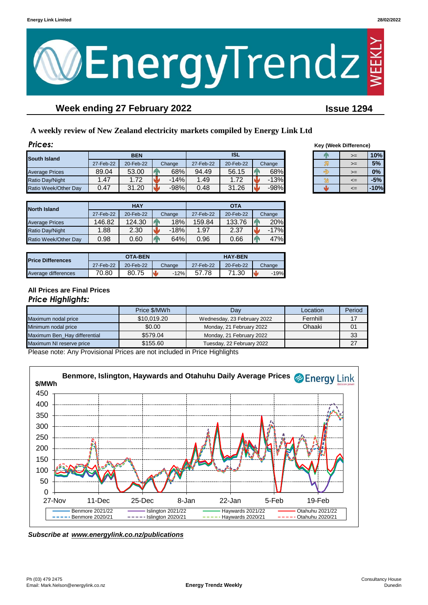

# **Week ending 27 February 2022 Issue 1294**

## **A weekly review of New Zealand electricity markets compiled by Energy Link Ltd**

| <b>Prices:</b>         |           |            |        |           |            |        |  | <b>Key (Week Difference)</b> |        |
|------------------------|-----------|------------|--------|-----------|------------|--------|--|------------------------------|--------|
| South Island           |           | <b>BEN</b> |        |           | <b>ISL</b> |        |  | $>=$                         | 10%    |
|                        | 27-Feb-22 | 20-Feb-22  | Change | 27-Feb-22 | 20-Feb-22  | Change |  | $>=$                         | 5%     |
| <b>Average Prices</b>  | 89.04     | 53.00      | 68%    | 94.49     | 56.15      | 68%    |  | $>=$                         | 0%     |
| <b>Ratio Day/Night</b> | .47       | 1.72       | $-14%$ | 1.49      | 1.72       | $-13%$ |  | $\leq$                       | $-5%$  |
| Ratio Week/Other Day   | 0.47      | 31.20      | $-98%$ | 0.48      | 31.26      | $-98%$ |  | $\leq$                       | $-10%$ |

|                       |           | <b>HAY</b> |        | <b>OTA</b> |           |          |  |
|-----------------------|-----------|------------|--------|------------|-----------|----------|--|
| <b>North Island</b>   | 27-Feb-22 | 20-Feb-22  | Change | 27-Feb-22  | 20-Feb-22 | Change   |  |
| <b>Average Prices</b> | 146.82    | 124.30     | 18%    | 159.84     | 133.76    | 20%      |  |
| Ratio Day/Night       | .88       | 2.30       | $-18%$ | 1.97       | 2.37      | $-17%$   |  |
| Ratio Week/Other Day  | 0.98      | 0.60       | 64%    | 0.96       | 0.66      | 47%<br>и |  |

| <b>Price Differences</b> |           | <b>OTA-BEN</b> |        |           | <b>HAY-BEN</b> |        |
|--------------------------|-----------|----------------|--------|-----------|----------------|--------|
|                          | 27-Feb-22 | 20-Feb-22      | Change | 27-Feb-22 | 20-Feb-22      | Change |
| Average differences      | 70.80     | 80.75          | $-12%$ | 78.'      | 1.30           | 19%    |

| >= | 10%   |
|----|-------|
| >≕ | 5%    |
| >≕ | 0%    |
| <= | $-5%$ |
| <= | 10%   |

#### **All Prices are Final Prices** *Price Highlights:*

|                              | Price \$/MWh | Dav                         | Location | Period |
|------------------------------|--------------|-----------------------------|----------|--------|
| Maximum nodal price          | \$10,019.20  | Wednesday, 23 February 2022 | Fernhill | 17     |
| Minimum nodal price          | \$0.00       | Monday, 21 February 2022    | Ohaaki   | 01     |
| Maximum Ben Hay differential | \$579.04     | Monday, 21 February 2022    |          | 33     |
| Maximum NI reserve price     | \$155.60     | Tuesday, 22 February 2022   |          | つフ     |

Please note: Any Provisional Prices are not included in Price Highlights



*Subscribe at www.energylink.co.nz/publications*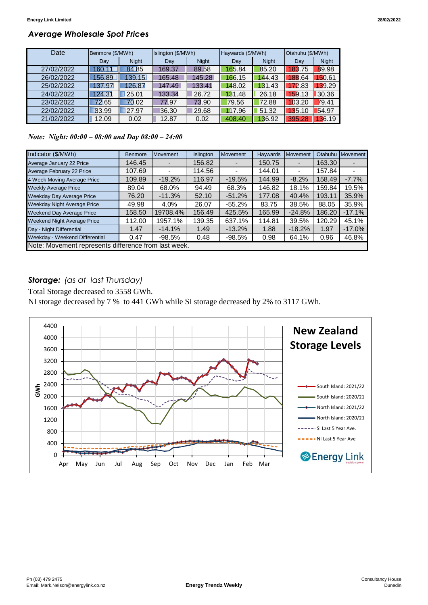## *Average Wholesale Spot Prices*

| Date       | Benmore (\$/MWh) |              | Islington (\$/MWh) |              | Haywards (\$/MWh) |              | Otahuhu (\$/MWh) |              |
|------------|------------------|--------------|--------------------|--------------|-------------------|--------------|------------------|--------------|
|            | Day              | <b>Night</b> | Day                | <b>Night</b> | Day               | <b>Night</b> | Day              | <b>Night</b> |
| 27/02/2022 | 160.11           | 84.85        | 169.37             | 89.58        | 165.84            | 85.20        | 183.75           | 89.98        |
| 26/02/2022 | 156.89           | 139.15       | 165.48             | 145.28       | 166.15            | 144.43       | 188.64           | 150.61       |
| 25/02/2022 | 137.97           | 126.87       | 147.49             | 133.41       | 148.02            | 131.43       | 172.83           | 139.29       |
| 24/02/2022 | 124.31           | 25.01        | 133.34             | 26.72        | 131.48            | 26.18        | 159.13           | 30.36        |
| 23/02/2022 | 72.65            | 70.02        | 77.97              | 73.90        | 79.56             | 72.88        | 103.20           | 79.41        |
| 22/02/2022 | 33.99            | 27.97        | 36.30              | 29.68        | 117.96            | 51.32        | 135.10           | 54.97        |
| 21/02/2022 | 12.09            | 0.02         | 12.87              | 0.02         | 408.40            | 136.92       | 395.28           | 136.19       |

*Note: Night: 00:00 – 08:00 and Day 08:00 – 24:00*

| Indicator (\$/MWh)                                   | <b>Benmore</b> | Movement | Islington | <b>Movement</b> | <b>Haywards</b> | Movement       | Otahuhu | Movement |
|------------------------------------------------------|----------------|----------|-----------|-----------------|-----------------|----------------|---------|----------|
| Average January 22 Price                             | 146.45         |          | 156.82    |                 | 150.75          |                | 163.30  |          |
| Average February 22 Price                            | 107.69         |          | 114.56    |                 | 144.01          | $\blacksquare$ | 157.84  |          |
| 4 Week Moving Average Price                          | 109.89         | $-19.2%$ | 116.97    | $-19.5%$        | 144.99          | $-8.2%$        | 158.49  | $-7.7%$  |
| <b>Weekly Average Price</b>                          | 89.04          | 68.0%    | 94.49     | 68.3%           | 146.82          | 18.1%          | 159.84  | 19.5%    |
| <b>Weekday Day Average Price</b>                     | 76.20          | $-11.3%$ | 52.10     | $-51.2%$        | 177.08          | 40.4%          | 193.11  | 35.9%    |
| <b>Weekday Night Average Price</b>                   | 49.98          | 4.0%     | 26.07     | $-55.2\%$       | 83.75           | 38.5%          | 88.05   | 35.9%    |
| <b>Weekend Day Average Price</b>                     | 158.50         | 19708.4% | 156.49    | 425.5%          | 165.99          | $-24.8%$       | 186.20  | $-17.1%$ |
| <b>Weekend Night Average Price</b>                   | 112.00         | 1957.1%  | 139.35    | 637.1%          | 114.81          | 39.5%          | 120.29  | 45.1%    |
| Day - Night Differential                             | 1.47           | $-14.1%$ | 1.49      | $-13.2%$        | 1.88            | $-18.2%$       | 1.97    | $-17.0%$ |
| Weekday - Weekend Differential                       | 0.47           | $-98.5%$ | 0.48      | $-98.5%$        | 0.98            | 64.1%          | 0.96    | 46.8%    |
| Note: Movement represents difference from last week. |                |          |           |                 |                 |                |         |          |

## *Storage: (as at last Thursday)*

Total Storage decreased to 3558 GWh.

NI storage decreased by 7 % to 441 GWh while SI storage decreased by 2% to 3117 GWh.

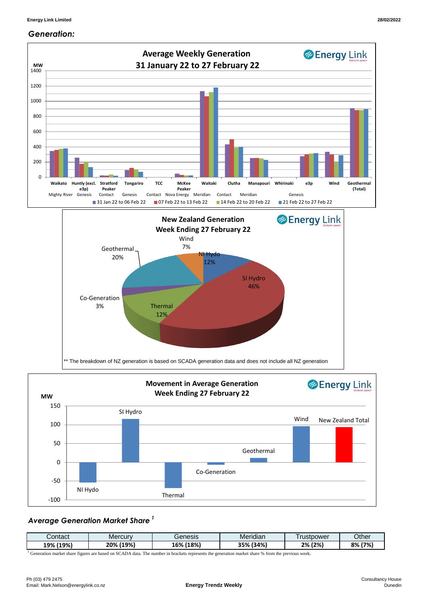

## *Generation:*



### *Average Generation Market Share <sup>1</sup>*

| ;ontact     | Mercurv      | Genesis                   | .<br>Meridian                                  | rustpower | <b>Other</b> |
|-------------|--------------|---------------------------|------------------------------------------------|-----------|--------------|
| (19%<br>19% | (19%)<br>20% | 18%<br>$\sim$ CO/<br>1070 | 12.00'<br><b>DEO</b><br>47o<br>" ت<br>70<br>-- | (2%<br>2% | 8%<br>(7%)   |

<sup>1</sup> Generation market share figures are based on SCADA data. The number in brackets represents the generation market share % from the previous week.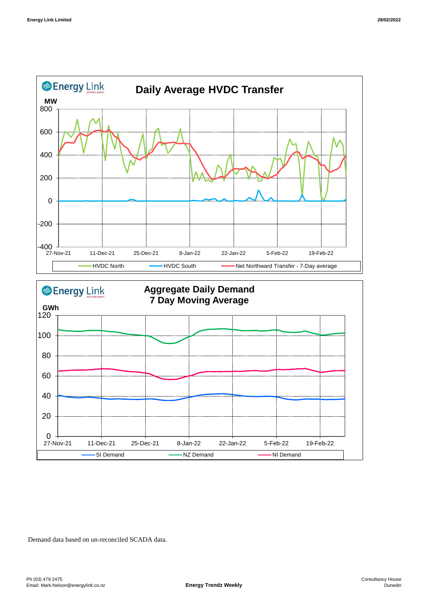



Demand data based on un-reconciled SCADA data.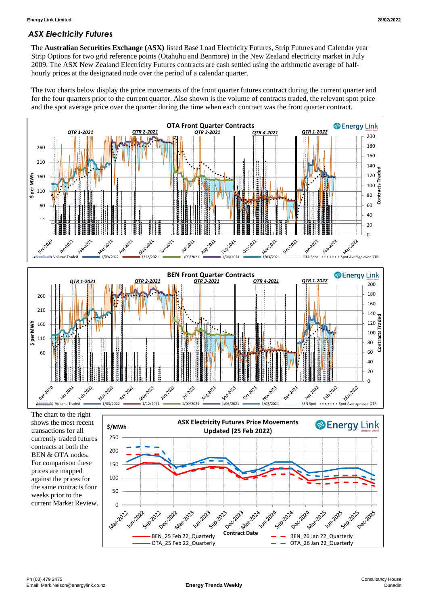### *ASX Electricity Futures*

The **Australian Securities Exchange (ASX)** listed Base Load Electricity Futures, Strip Futures and Calendar year Strip Options for two grid reference points (Otahuhu and Benmore) in the New Zealand electricity market in July 2009. The ASX New Zealand Electricity Futures contracts are cash settled using the arithmetic average of halfhourly prices at the designated node over the period of a calendar quarter.

The two charts below display the price movements of the front quarter futures contract during the current quarter and for the four quarters prior to the current quarter. Also shown is the volume of contracts traded, the relevant spot price and the spot average price over the quarter during the time when each contract was the front quarter contract.



The chart to the right shows the most recent transactions for all currently traded futures contracts at both the BEN & OTA nodes. For comparison these prices are mapped against the prices for the same contracts four weeks prior to the current Market Review.